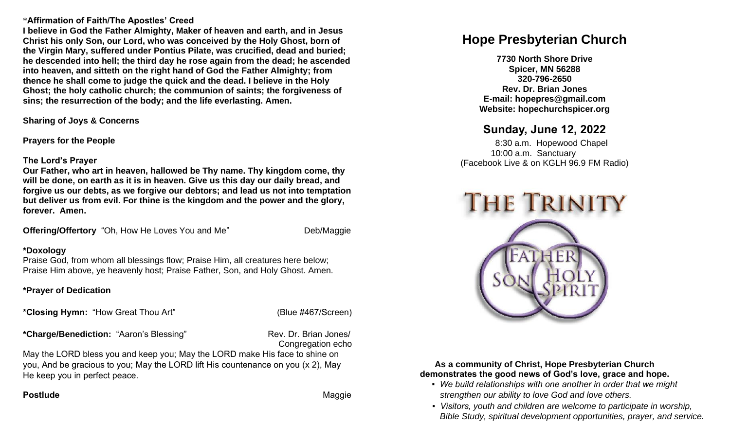### \***Affirmation of Faith/The Apostles' Creed**

**I believe in God the Father Almighty, Maker of heaven and earth, and in Jesus Christ his only Son, our Lord, who was conceived by the Holy Ghost, born of the Virgin Mary, suffered under Pontius Pilate, was crucified, dead and buried; he descended into hell; the third day he rose again from the dead; he ascended into heaven, and sitteth on the right hand of God the Father Almighty; from thence he shall come to judge the quick and the dead. I believe in the Holy Ghost; the holy catholic church; the communion of saints; the forgiveness of sins; the resurrection of the body; and the life everlasting. Amen.**

**Sharing of Joys & Concerns**

**Prayers for the People**

### **The Lord's Prayer**

**Our Father, who art in heaven, hallowed be Thy name. Thy kingdom come, thy will be done, on earth as it is in heaven. Give us this day our daily bread, and forgive us our debts, as we forgive our debtors; and lead us not into temptation but deliver us from evil. For thine is the kingdom and the power and the glory, forever. Amen.** 

**Offering/Offertory** "Oh, How He Loves You and Me" Deb/Maggie

### **\*Doxology**

Praise God, from whom all blessings flow; Praise Him, all creatures here below; Praise Him above, ye heavenly host; Praise Father, Son, and Holy Ghost. Amen.

### **\*Prayer of Dedication**

**\*Closing Hymn:** "How Great Thou Art" (Blue #467/Screen)

\*Charge/Benediction: "Aaron's Blessing" Rev. Dr. Brian Jones/

Congregation echo

May the LORD bless you and keep you; May the LORD make His face to shine on you, And be gracious to you; May the LORD lift His countenance on you (x 2), May He keep you in perfect peace.

## **Postlude Contract Contract Contract Contract Contract Contract Contract Contract Contract Contract Contract Contract Contract Contract Contract Contract Contract Contract Contract Contract Contract Contract Contract Contr**

# **Hope Presbyterian Church**

**7730 North Shore Drive Spicer, MN 56288 320-796-2650 Rev. Dr. Brian Jones E-mail: hopepres@gmail.com Website: hopechurchspicer.org**

# **Sunday, June 12, 2022**

 8:30 a.m. Hopewood Chapel 10:00 a.m. Sanctuary (Facebook Live & on KGLH 96.9 FM Radio)

**HE TRINITY** 



### **As a community of Christ, Hope Presbyterian Church demonstrates the good news of God's love, grace and hope.**

- *We build relationships with one another in order that we might strengthen our ability to love God and love others.*
- *Visitors, youth and children are welcome to participate in worship, Bible Study, spiritual development opportunities, prayer, and service.*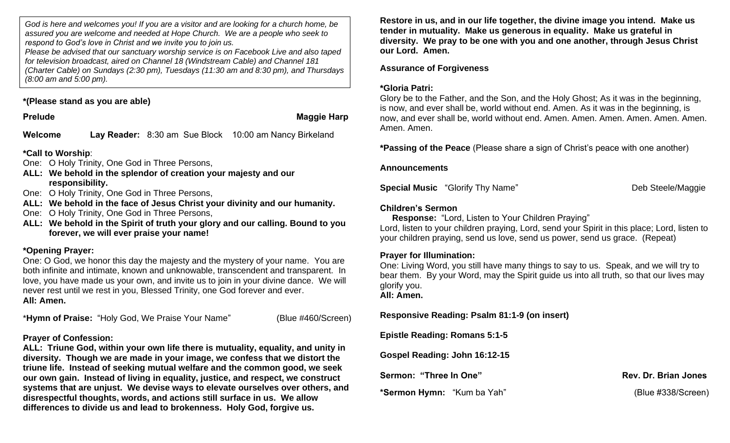*God is here and welcomes you! If you are a visitor and are looking for a church home, be assured you are welcome and needed at Hope Church. We are a people who seek to respond to God's love in Christ and we invite you to join us.*

*Please be advised that our sanctuary worship service is on Facebook Live and also taped for television broadcast, aired on Channel 18 (Windstream Cable) and Channel 181 (Charter Cable) on Sundays (2:30 pm), Tuesdays (11:30 am and 8:30 pm), and Thursdays (8:00 am and 5:00 pm).*

### **\*(Please stand as you are able)**

### **Prelude Maggie Harp**

**Welcome Lay Reader:** 8:30 am Sue Block 10:00 am Nancy Birkeland

### **\*Call to Worship**:

- One: O Holy Trinity, One God in Three Persons,
- **ALL: We behold in the splendor of creation your majesty and our responsibility.**
- One: O Holy Trinity, One God in Three Persons,
- **ALL: We behold in the face of Jesus Christ your divinity and our humanity.**
- One: O Holy Trinity, One God in Three Persons,
- **ALL: We behold in the Spirit of truth your glory and our calling. Bound to you forever, we will ever praise your name!**

### **\*Opening Prayer:**

One: O God, we honor this day the majesty and the mystery of your name. You are both infinite and intimate, known and unknowable, transcendent and transparent. In love, you have made us your own, and invite us to join in your divine dance. We will never rest until we rest in you, Blessed Trinity, one God forever and ever. **All: Amen.**

\***Hymn of Praise:** "Holy God, We Praise Your Name" (Blue #460/Screen)

### **Prayer of Confession:**

**ALL: Triune God, within your own life there is mutuality, equality, and unity in diversity. Though we are made in your image, we confess that we distort the triune life. Instead of seeking mutual welfare and the common good, we seek our own gain. Instead of living in equality, justice, and respect, we construct systems that are unjust. We devise ways to elevate ourselves over others, and disrespectful thoughts, words, and actions still surface in us. We allow differences to divide us and lead to brokenness. Holy God, forgive us.** 

**Restore in us, and in our life together, the divine image you intend. Make us tender in mutuality. Make us generous in equality. Make us grateful in diversity. We pray to be one with you and one another, through Jesus Christ our Lord. Amen.** 

### **Assurance of Forgiveness**

### **\*Gloria Patri:**

Glory be to the Father, and the Son, and the Holy Ghost; As it was in the beginning, is now, and ever shall be, world without end. Amen. As it was in the beginning, is now, and ever shall be, world without end. Amen. Amen. Amen. Amen. Amen. Amen. Amen. Amen.

**\*Passing of the Peace** (Please share a sign of Christ's peace with one another)

### **Announcements**

**Special Music** "Glorify Thy Name" **Communist Contract Contract Contract Contract Contract Contract Contract Contract Contract Contract Contract Contract Contract Contract Contract Contract Contract Contract Contract Contr** 

### **Children's Sermon**

 **Response:** "Lord, Listen to Your Children Praying"

Lord, listen to your children praying, Lord, send your Spirit in this place; Lord, listen to your children praying, send us love, send us power, send us grace. (Repeat)

### **Prayer for Illumination:**

One: Living Word, you still have many things to say to us. Speak, and we will try to bear them. By your Word, may the Spirit guide us into all truth, so that our lives may glorify you.

**All: Amen.**

**Responsive Reading: Psalm 81:1-9 (on insert)**

**Epistle Reading: Romans 5:1-5**

**Gospel Reading: John 16:12-15**

**Sermon: "Three In One" New York Contract Contract Property Rev. Dr. Brian Jones** 

**\*Sermon Hymn:** "Kum ba Yah" (Blue #338/Screen)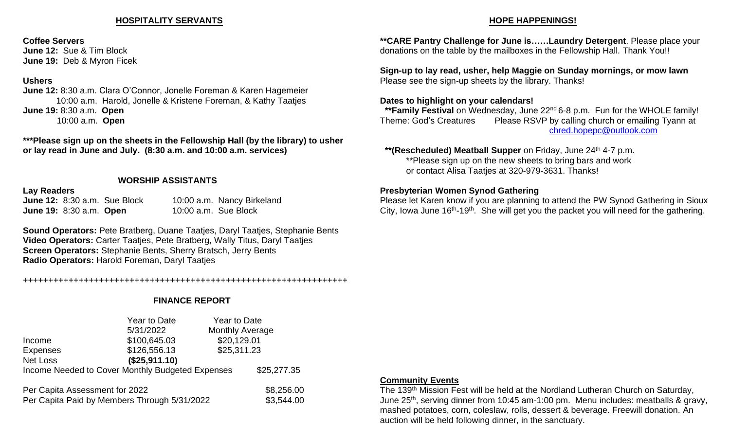#### **HOSPITALITY SERVANTS**

#### **Coffee Servers**

**June 12:** Sue & Tim Block **June 19:** Deb & Myron Ficek

#### **Ushers**

**June 12:** 8:30 a.m. Clara O'Connor, Jonelle Foreman & Karen Hagemeier 10:00 a.m. Harold, Jonelle & Kristene Foreman, & Kathy Taatjes **June 19:** 8:30 a.m. **Open** 10:00 a.m. **Open**

**\*\*\*Please sign up on the sheets in the Fellowship Hall (by the library) to usher or lay read in June and July. (8:30 a.m. and 10:00 a.m. services)**

#### **WORSHIP ASSISTANTS**

**Lay Readers**

**June 12:** 8:30 a.m. Sue Block 10:00 a.m. Nancy Birkeland **June 19:** 8:30 a.m. **Open** 10:00 a.m. Sue Block

**Sound Operators:** Pete Bratberg, Duane Taatjes, Daryl Taatjes, Stephanie Bents **Video Operators:** Carter Taatjes, Pete Bratberg, Wally Titus, Daryl Taatjes **Screen Operators:** Stephanie Bents, Sherry Bratsch, Jerry Bents **Radio Operators:** Harold Foreman, Daryl Taatjes

++++++++++++++++++++++++++++++++++++++++++++++++++++++++++++++++

#### **FINANCE REPORT**

|                                                  | Year to Date  | Year to Date |                        |  |
|--------------------------------------------------|---------------|--------------|------------------------|--|
|                                                  | 5/31/2022     |              | <b>Monthly Average</b> |  |
| Income                                           | \$100,645.03  | \$20,129.01  |                        |  |
| <b>Expenses</b>                                  | \$126,556.13  | \$25,311.23  |                        |  |
| <b>Net Loss</b>                                  | (\$25,911.10) |              |                        |  |
| Income Needed to Cover Monthly Budgeted Expenses |               |              | \$25,277.35            |  |

Per Capita Assessment for 2022 \$8,256.00 Per Capita Paid by Members Through 5/31/2022 \$3,544.00

#### **HOPE HAPPENINGS!**

**\*\*CARE Pantry Challenge for June is……Laundry Detergent**. Please place your donations on the table by the mailboxes in the Fellowship Hall. Thank You!!

**Sign-up to lay read, usher, help Maggie on Sunday mornings, or mow lawn** Please see the sign-up sheets by the library. Thanks!

#### **Dates to highlight on your calendars!**

 **\*\*Family Festival** on Wednesday, June 22nd 6-8 p.m. Fun for the WHOLE family! Theme: God's Creatures Please RSVP by calling church or emailing Tyann at [chred.hopepc@outlook.com](mailto:chred.hopepc@outlook.com)

 **\*\*(Rescheduled) Meatball Supper** on Friday, June 24th 4-7 p.m. \*\*Please sign up on the new sheets to bring bars and work or contact Alisa Taatjes at 320-979-3631. Thanks!

### **Presbyterian Women Synod Gathering**

Please let Karen know if you are planning to attend the PW Synod Gathering in Sioux City, lowa June 16<sup>th</sup>-19<sup>th</sup>. She will get you the packet you will need for the gathering.

#### **Community Events**

The 139th Mission Fest will be held at the Nordland Lutheran Church on Saturday, June 25<sup>th</sup>, serving dinner from 10:45 am-1:00 pm. Menu includes: meatballs & gravy, mashed potatoes, corn, coleslaw, rolls, dessert & beverage. Freewill donation. An auction will be held following dinner, in the sanctuary.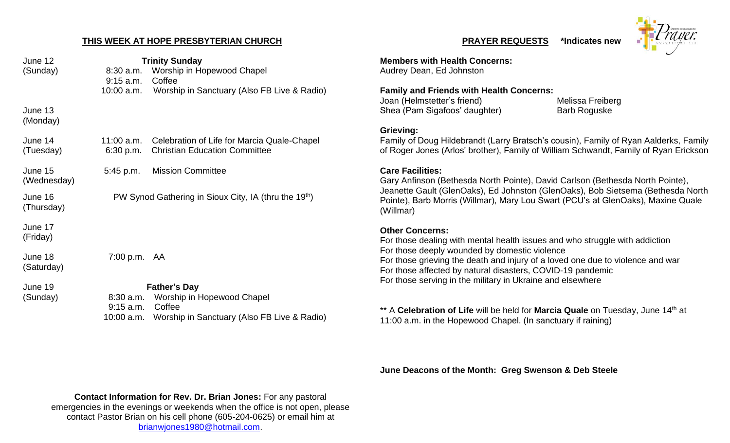### **THIS WEEK AT HOPE PRESBYTERIAN CHURCH**

| June 12             |              | <b>Trinity Sunday</b>                                             | <b>Memb</b>        |
|---------------------|--------------|-------------------------------------------------------------------|--------------------|
| (Sunday)            | $8:30$ a.m.  | Worship in Hopewood Chapel                                        | Audrey             |
|                     | $9:15$ a.m.  | Coffee                                                            |                    |
|                     | 10:00 a.m.   | Worship in Sanctuary (Also FB Live & Radio)                       | <b>Family</b>      |
|                     |              |                                                                   | Joan (l            |
| June 13<br>(Monday) |              |                                                                   | Shea (l            |
|                     |              |                                                                   | Grievin            |
| June 14             |              | 11:00 a.m. Celebration of Life for Marcia Quale-Chapel            | Family             |
| (Tuesday)           | 6:30 p.m.    | <b>Christian Education Committee</b>                              | of Rog             |
|                     |              |                                                                   |                    |
| June 15             | $5:45$ p.m.  | <b>Mission Committee</b>                                          | <b>Care F</b>      |
| (Wednesday)         |              |                                                                   | Gary A             |
| June 16             |              | PW Synod Gathering in Sioux City, IA (thru the 19 <sup>th</sup> ) | Jeanet<br>Pointe)  |
| (Thursday)          |              |                                                                   | (Willma            |
|                     |              |                                                                   |                    |
| June 17             |              |                                                                   | Other              |
| (Friday)            |              |                                                                   | For tho            |
| June 18             | 7:00 p.m. AA |                                                                   | For tho            |
| (Saturday)          |              |                                                                   | For tho<br>For tho |
|                     |              |                                                                   | For tho            |
| June 19             |              | <b>Father's Day</b>                                               |                    |
| (Sunday)            | $8:30$ a.m.  | Worship in Hopewood Chapel                                        |                    |
|                     | $9:15$ a.m.  | Coffee                                                            | ** A Ce            |
|                     | 10:00 a.m.   | Worship in Sanctuary (Also FB Live & Radio)                       | 11:00:             |

### **PRAYER REQUESTS \*Indicates new**



**Arablers with Health Concerns:** Dean, Ed Johnston

| <b>Family and Friends with Health Concerns:</b> |                     |
|-------------------------------------------------|---------------------|
| Joan (Helmstetter's friend)                     | Melissa Freiberg    |
| Shea (Pam Sigafoos' daughter)                   | <b>Barb Roguske</b> |

### **Grieving:**

of Doug Hildebrandt (Larry Bratsch's cousin), Family of Ryan Aalderks, Family er Jones (Arlos' brother), Family of William Schwandt, Family of Ryan Erickson

### **Care Facilities:**

Anfinson (Bethesda North Pointe), David Carlson (Bethesda North Pointe), Ite Gault (GlenOaks), Ed Johnston (GlenOaks), Bob Sietsema (Bethesda North ), Barb Morris (Willmar), Mary Lou Swart (PCU's at GlenOaks), Maxine Quale ar)

### Concerns:

be dealing with mental health issues and who struggle with addiction bse deeply wounded by domestic violence bse grieving the death and injury of a loved one due to violence and war ose affected by natural disasters, COVID-19 pandemic ose serving in the military in Ukraine and elsewhere

**elebration of Life** will be held for **Marcia Quale** on Tuesday, June 14<sup>th</sup> at a.m. in the Hopewood Chapel. (In sanctuary if raining)

**June Deacons of the Month: Greg Swenson & Deb Steele**

**Contact Information for Rev. Dr. Brian Jones:** For any pastoral emergencies in the evenings or weekends when the office is not open, please contact Pastor Brian on his cell phone (605-204-0625) or email him at [brianwjones1980@hotmail.com.](mailto:brianwjones1980@hotmail.com)